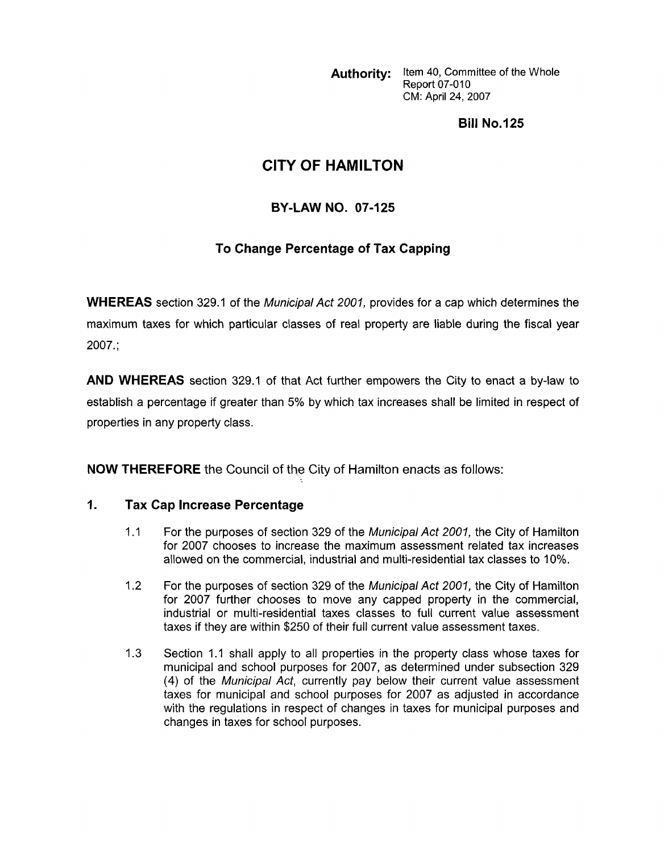Authority: Item 40, Committee of the Whole **Report 07-010** CM: April 24, 2007

**Bill No.125** 

## **CITY OF HAMILTON**

## **BY-LAW NO. 07-125**

## **To Change Percentage of Tax Capping**

**WHEREAS** section **329.1** of the Municipal Act *2001,* provides for a cap which determines the maximum taxes for which particular classes of real property are liable during the fiscal year **2007.;** 

**AND WHEREAS** section **329.1** of that Act further empowers the City to enact a by-law to establish a percentage if greater than 5% by which tax increases shall be limited in respect of properties in any property class.

**NOW THEREFORE** the Council of the City of Hamilton enacts as follows:

## **I. Tax Cap Increase Percentage**

- **1 .I**  For the purposes of section **329** of the Municipal Act *2001,* the City of Hamilton for **2007** chooses to increase the maximum assessment related tax increases allowed on the commercial, industrial and multi-residential tax classes to **10%.**
- **1.2**  For the purposes of section **329** of the Municipal Act *2001,* the City of Hamilton for **2007** further chooses to move any capped property in the commercial, industrial or multi-residential taxes classes to full current value assessment taxes if they are within **\$250** of their full current value assessment taxes.
- **1.3**  Section **1.1** shall apply to all properties in the property class whose taxes for municipal and school purposes for **2007,** as determined under subsection **329**  (4) of the Municipal Act, currently pay below their current value assessment taxes for municipal and school purposes for **2007** as adjusted in accordance with the regulations in respect of changes in taxes for municipal purposes and changes in taxes for school purposes.